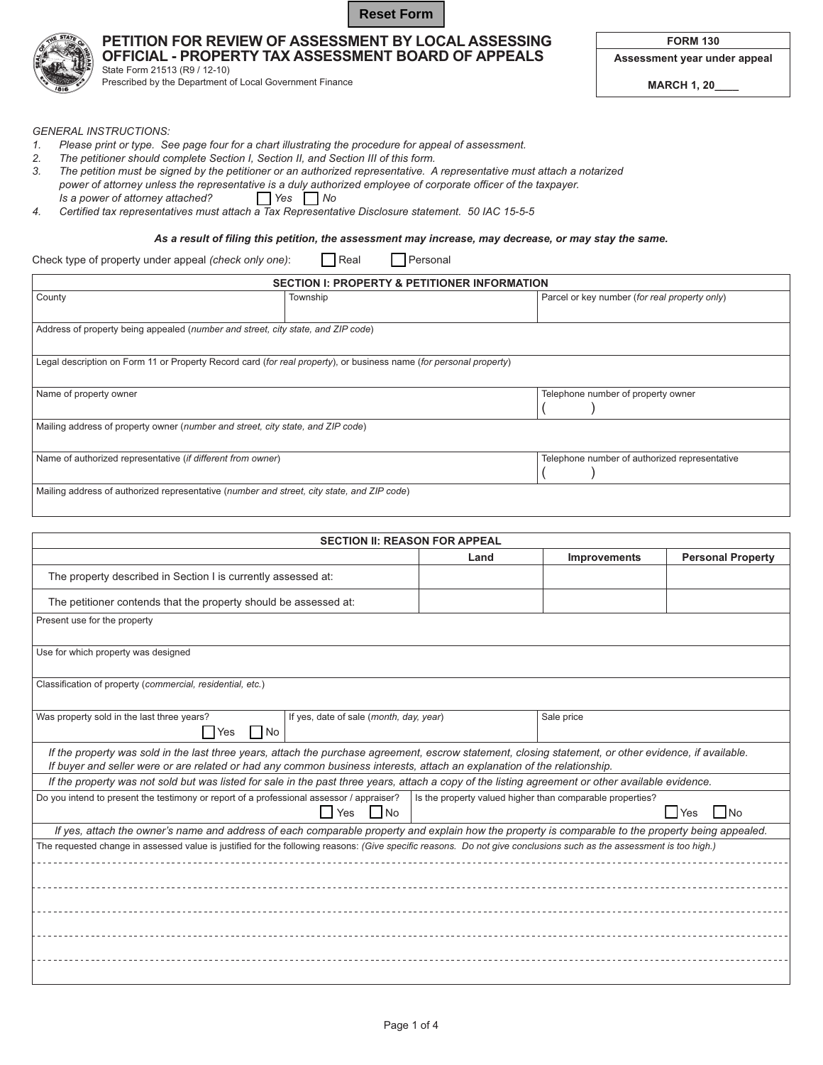

## PETITION FOR REVIEW OF ASSESSMENT BY LOCAL ASSESSING OFFICIAL - PROPERTY TAX ASSESSMENT BOARD OF APPEALS

State Form 21513 (R9 / 12-10) Prescribed by the Department of Local Government Finance Assessment year under appeal

**FORM 130** 

**MARCH 1, 20\_** 

**GENERAL INSTRUCTIONS:** 

- 1. Please print or type. See page four for a chart illustrating the procedure for appeal of assessment.
- 2. The petitioner should complete Section I, Section II, and Section III of this form.
- 3. The petition must be signed by the petitioner or an authorized representative. A representative must attach a notarized power of attorney unless the representative is a duly authorized employee of corporate officer of the taxpayer. Is a power of attorney attached?  $\Box$  Yes  $\Box$  No

 $\Box$  Real

4. Certified tax representatives must attach a Tax Representative Disclosure statement. 50 IAC 15-5-5

As a result of filing this petition, the assessment may increase, may decrease, or may stay the same.

 $\Box$  Personal

Check type of property under appeal (check only one):

| <b>SECTION I: PROPERTY &amp; PETITIONER INFORMATION</b>                                                            |          |                                               |
|--------------------------------------------------------------------------------------------------------------------|----------|-----------------------------------------------|
| County                                                                                                             | Township | Parcel or key number (for real property only) |
|                                                                                                                    |          |                                               |
| Address of property being appealed (number and street, city state, and ZIP code)                                   |          |                                               |
|                                                                                                                    |          |                                               |
| Legal description on Form 11 or Property Record card (for real property), or business name (for personal property) |          |                                               |
| Name of property owner                                                                                             |          | Telephone number of property owner            |
|                                                                                                                    |          |                                               |
| Mailing address of property owner (number and street, city state, and ZIP code)                                    |          |                                               |
|                                                                                                                    |          |                                               |
| Name of authorized representative (if different from owner)                                                        |          | Telephone number of authorized representative |
|                                                                                                                    |          |                                               |
| Mailing address of authorized representative (number and street, city state, and ZIP code)                         |          |                                               |

| <b>SECTION II: REASON FOR APPEAL</b>                                                                                                                                                                                                                                               |                                                                                                                                                                     |      |              |                                    |
|------------------------------------------------------------------------------------------------------------------------------------------------------------------------------------------------------------------------------------------------------------------------------------|---------------------------------------------------------------------------------------------------------------------------------------------------------------------|------|--------------|------------------------------------|
|                                                                                                                                                                                                                                                                                    |                                                                                                                                                                     | Land | Improvements | <b>Personal Property</b>           |
| The property described in Section I is currently assessed at:                                                                                                                                                                                                                      |                                                                                                                                                                     |      |              |                                    |
| The petitioner contends that the property should be assessed at:                                                                                                                                                                                                                   |                                                                                                                                                                     |      |              |                                    |
| Present use for the property                                                                                                                                                                                                                                                       |                                                                                                                                                                     |      |              |                                    |
| Use for which property was designed                                                                                                                                                                                                                                                |                                                                                                                                                                     |      |              |                                    |
| Classification of property (commercial, residential, etc.)                                                                                                                                                                                                                         |                                                                                                                                                                     |      |              |                                    |
| Was property sold in the last three years?<br>Yes No                                                                                                                                                                                                                               | If yes, date of sale (month, day, year)                                                                                                                             |      | Sale price   |                                    |
| If the property was sold in the last three years, attach the purchase agreement, escrow statement, closing statement, or other evidence, if available.<br>If buyer and seller were or are related or had any common business interests, attach an explanation of the relationship. |                                                                                                                                                                     |      |              |                                    |
| If the property was not sold but was listed for sale in the past three years, attach a copy of the listing agreement or other available evidence.                                                                                                                                  |                                                                                                                                                                     |      |              |                                    |
| Do you intend to present the testimony or report of a professional assessor / appraiser?<br>Is the property valued higher than comparable properties?                                                                                                                              |                                                                                                                                                                     |      |              |                                    |
|                                                                                                                                                                                                                                                                                    | l Yes<br>$\blacksquare$                                                                                                                                             |      |              | Yes<br>$\overline{\phantom{a}}$ No |
| If yes, attach the owner's name and address of each comparable property and explain how the property is comparable to the property being appealed.                                                                                                                                 |                                                                                                                                                                     |      |              |                                    |
|                                                                                                                                                                                                                                                                                    | The requested change in assessed value is justified for the following reasons: (Give specific reasons. Do not give conclusions such as the assessment is too high.) |      |              |                                    |
|                                                                                                                                                                                                                                                                                    |                                                                                                                                                                     |      |              |                                    |
|                                                                                                                                                                                                                                                                                    |                                                                                                                                                                     |      |              |                                    |
|                                                                                                                                                                                                                                                                                    |                                                                                                                                                                     |      |              |                                    |
|                                                                                                                                                                                                                                                                                    |                                                                                                                                                                     |      |              |                                    |
|                                                                                                                                                                                                                                                                                    |                                                                                                                                                                     |      |              |                                    |
|                                                                                                                                                                                                                                                                                    |                                                                                                                                                                     |      |              |                                    |
|                                                                                                                                                                                                                                                                                    |                                                                                                                                                                     |      |              |                                    |
|                                                                                                                                                                                                                                                                                    |                                                                                                                                                                     |      |              |                                    |

Page 1 of 4

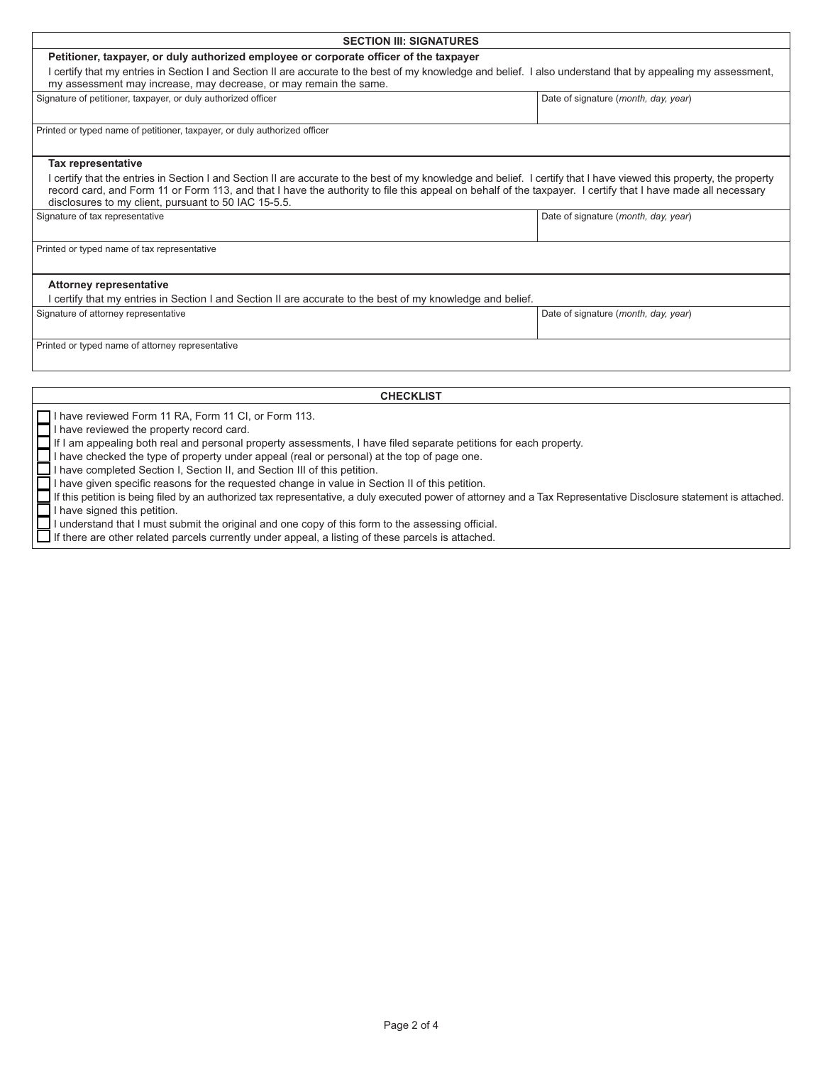| <b>SECTION III: SIGNATURES</b>                                                                                                                                                                                                                                                                                                                                                              |                                      |  |
|---------------------------------------------------------------------------------------------------------------------------------------------------------------------------------------------------------------------------------------------------------------------------------------------------------------------------------------------------------------------------------------------|--------------------------------------|--|
| Petitioner, taxpayer, or duly authorized employee or corporate officer of the taxpayer                                                                                                                                                                                                                                                                                                      |                                      |  |
| I certify that my entries in Section I and Section II are accurate to the best of my knowledge and belief. I also understand that by appealing my assessment,                                                                                                                                                                                                                               |                                      |  |
| my assessment may increase, may decrease, or may remain the same.                                                                                                                                                                                                                                                                                                                           |                                      |  |
| Signature of petitioner, taxpayer, or duly authorized officer                                                                                                                                                                                                                                                                                                                               | Date of signature (month, day, year) |  |
| Printed or typed name of petitioner, taxpayer, or duly authorized officer                                                                                                                                                                                                                                                                                                                   |                                      |  |
|                                                                                                                                                                                                                                                                                                                                                                                             |                                      |  |
| <b>Tax representative</b>                                                                                                                                                                                                                                                                                                                                                                   |                                      |  |
| I certify that the entries in Section I and Section II are accurate to the best of my knowledge and belief. I certify that I have viewed this property, the property<br>record card, and Form 11 or Form 113, and that I have the authority to file this appeal on behalf of the taxpayer. I certify that I have made all necessary<br>disclosures to my client, pursuant to 50 IAC 15-5.5. |                                      |  |
| Signature of tax representative                                                                                                                                                                                                                                                                                                                                                             | Date of signature (month, day, year) |  |
|                                                                                                                                                                                                                                                                                                                                                                                             |                                      |  |
| Printed or typed name of tax representative                                                                                                                                                                                                                                                                                                                                                 |                                      |  |
|                                                                                                                                                                                                                                                                                                                                                                                             |                                      |  |
| <b>Attorney representative</b>                                                                                                                                                                                                                                                                                                                                                              |                                      |  |
| I certify that my entries in Section I and Section II are accurate to the best of my knowledge and belief.                                                                                                                                                                                                                                                                                  |                                      |  |
| Signature of attorney representative                                                                                                                                                                                                                                                                                                                                                        | Date of signature (month, day, year) |  |
| Printed or typed name of attorney representative                                                                                                                                                                                                                                                                                                                                            |                                      |  |
|                                                                                                                                                                                                                                                                                                                                                                                             |                                      |  |
|                                                                                                                                                                                                                                                                                                                                                                                             |                                      |  |
| <b>CHECKLIST</b>                                                                                                                                                                                                                                                                                                                                                                            |                                      |  |
| have reviewed Form 11 RA, Form 11 CI, or Form 113.                                                                                                                                                                                                                                                                                                                                          |                                      |  |
| I have reviewed the property record card.                                                                                                                                                                                                                                                                                                                                                   |                                      |  |

If I am appealing both real and personal property assessments, I have filed separate petitions for each property.

If I am appealing both real and personal property assessments, I have filed separate petition<br>
I have checked the type of property under appeal (real or personal) at the top of page one.<br>
I have completed Section I, Sectio If this petition is being filed by an authorized tax representative, a duly executed power of attorney and a Tax Representative Disclosure statement is attached.

I understand that I must submit the original and one copy of this form to the assessing official.

Г If there are other related parcels currently under appeal, a listing of these parcels is attached.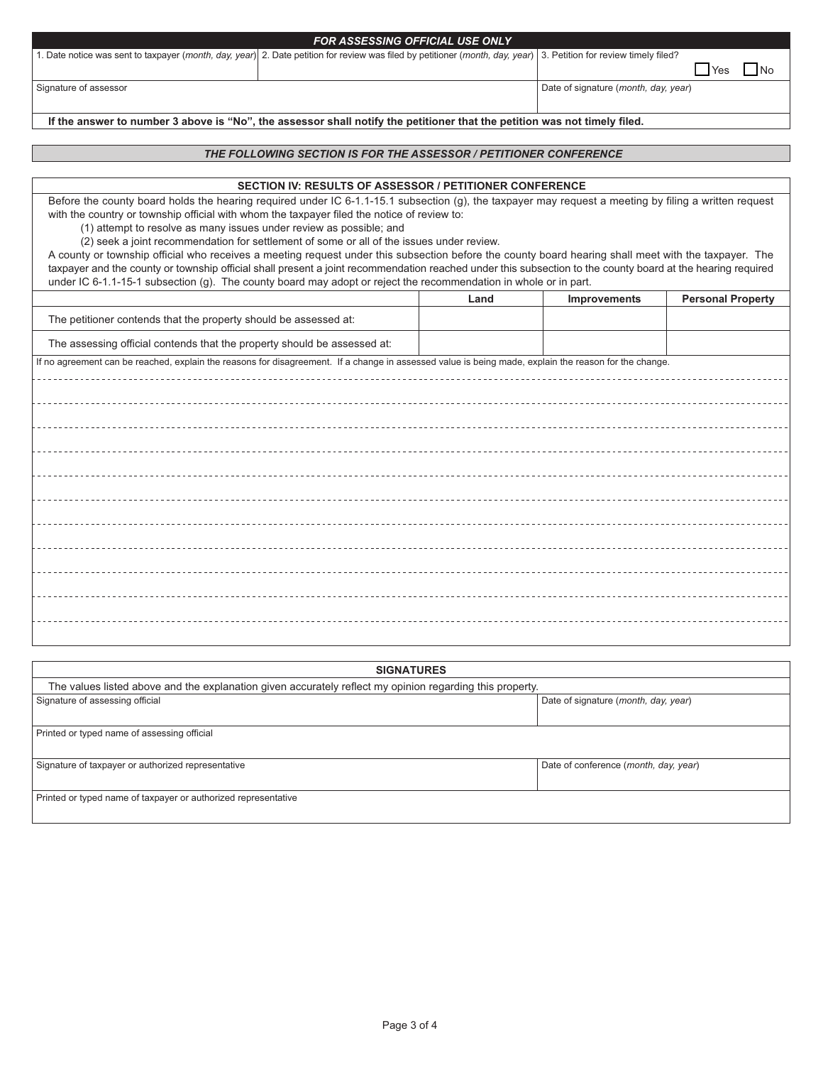| <b>FOR ASSESSING OFFICIAL USE ONLY</b> |                                                                                                                                                                   |                                      |  |
|----------------------------------------|-------------------------------------------------------------------------------------------------------------------------------------------------------------------|--------------------------------------|--|
|                                        | . Date notice was sent to taxpayer (month, day, year) 2. Date petition for review was filed by petitioner (month, day, year) 3. Petition for review timely filed? |                                      |  |
|                                        |                                                                                                                                                                   | Yes<br>- I No                        |  |
| Signature of assessor                  |                                                                                                                                                                   | Date of signature (month, day, year) |  |
|                                        |                                                                                                                                                                   |                                      |  |

If the answer to number 3 above is "No", the assessor shall notify the petitioner that the petition was not timely filed.

## THE FOLLOWING SECTION IS FOR THE ASSESSOR / PETITIONER CONFERENCE

## SECTION IV: RESULTS OF ASSESSOR / PETITIONER CONFERENCE

Before the county board holds the hearing required under IC 6-1.1-15.1 subsection (g), the taxpayer may request a meeting by filing a written request with the country or township official with whom the taxpayer filed the notice of review to:

(1) attempt to resolve as many issues under review as possible; and

(2) seek a joint recommendation for settlement of some or all of the issues under review.

A county or township official who receives a meeting request under this subsection before the county board hearing shall meet with the taxpayer. The taxpayer and the county or township official shall present a joint recommendation reached under this subsection to the county board at the hearing required under IC 6-1.1-15-1 subsection (g). The county board may adopt or reject the recommendation in whole or in part.

|                                                                                                                                                       | Land | Improvements | <b>Personal Property</b> |
|-------------------------------------------------------------------------------------------------------------------------------------------------------|------|--------------|--------------------------|
| The petitioner contends that the property should be assessed at:                                                                                      |      |              |                          |
| The assessing official contends that the property should be assessed at:                                                                              |      |              |                          |
| If no agreement can be reached, explain the reasons for disagreement. If a change in assessed value is being made, explain the reason for the change. |      |              |                          |
|                                                                                                                                                       |      |              |                          |
|                                                                                                                                                       |      |              |                          |
|                                                                                                                                                       |      |              |                          |
|                                                                                                                                                       |      |              |                          |
|                                                                                                                                                       |      |              |                          |
|                                                                                                                                                       |      |              |                          |
|                                                                                                                                                       |      |              |                          |
|                                                                                                                                                       |      |              |                          |
|                                                                                                                                                       |      |              |                          |
|                                                                                                                                                       |      |              |                          |
|                                                                                                                                                       |      |              |                          |

| <b>SIGNATURES</b>                                                                                        |                                       |  |
|----------------------------------------------------------------------------------------------------------|---------------------------------------|--|
| The values listed above and the explanation given accurately reflect my opinion regarding this property. |                                       |  |
| Signature of assessing official                                                                          | Date of signature (month, day, year)  |  |
|                                                                                                          |                                       |  |
| Printed or typed name of assessing official                                                              |                                       |  |
|                                                                                                          |                                       |  |
| Signature of taxpayer or authorized representative                                                       | Date of conference (month, day, year) |  |
|                                                                                                          |                                       |  |
| Printed or typed name of taxpayer or authorized representative                                           |                                       |  |
|                                                                                                          |                                       |  |